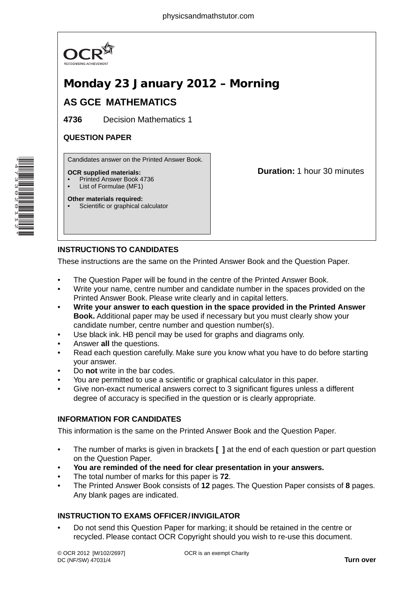

# Monday 23 January 2012 – Morning

# **AS GCE MATHEMATICS**

**4736** Decision Mathematics 1

### **QUESTION PAPER**

Candidates answer on the Printed Answer Book.

#### **OCR supplied materials:**

- Printed Answer Book 4736
- List of Formulae (MF1)
- **Other materials required:** Scientific or graphical calculator

**Duration:** 1 hour 30 minutes

## **INSTRUCTIONS TO CANDIDATES**

These instructions are the same on the Printed Answer Book and the Question Paper.

- The Question Paper will be found in the centre of the Printed Answer Book.
- Write your name, centre number and candidate number in the spaces provided on the Printed Answer Book. Please write clearly and in capital letters.
- **Write your answer to each question in the space provided in the Printed Answer Book.** Additional paper may be used if necessary but you must clearly show your candidate number, centre number and question number(s).
- Use black ink. HB pencil may be used for graphs and diagrams only.
- Answer **all** the questions.
- Read each question carefully. Make sure you know what you have to do before starting your answer.
- Do **not** write in the bar codes.
- You are permitted to use a scientific or graphical calculator in this paper.
- Give non-exact numerical answers correct to 3 significant figures unless a different degree of accuracy is specified in the question or is clearly appropriate.

## **INFORMATION FOR CANDIDATES**

This information is the same on the Printed Answer Book and the Question Paper.

- The number of marks is given in brackets **[ ]** at the end of each question or part question on the Question Paper.
- **You are reminded of the need for clear presentation in your answers.**
- The total number of marks for this paper is **72**.
- The Printed Answer Book consists of **12** pages. The Question Paper consists of **8** pages. Any blank pages are indicated.

## **INSTRUCTION TO EXAMS OFFICER / INVIGILATOR**

• Do not send this Question Paper for marking; it should be retained in the centre or recycled. Please contact OCR Copyright should you wish to re-use this document.

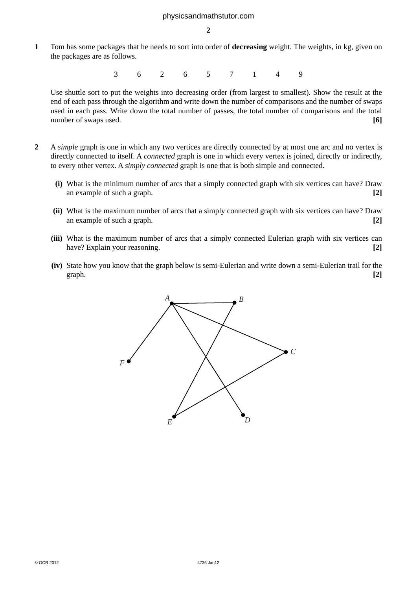**2**

**1** Tom has some packages that he needs to sort into order of **decreasing** weight. The weights, in kg, given on the packages are as follows.

3 6 2 6 5 7 1 4 9

Use shuttle sort to put the weights into decreasing order (from largest to smallest). Show the result at the end of each pass through the algorithm and write down the number of comparisons and the number of swaps used in each pass. Write down the total number of passes, the total number of comparisons and the total number of swaps used. **[6] [6]** 

- **2** A *simple* graph is one in which any two vertices are directly connected by at most one arc and no vertex is directly connected to itself. A *connected* graph is one in which every vertex is joined, directly or indirectly, to every other vertex. A *simply connected* graph is one that is both simple and connected.
	- **(i)** What is the minimum number of arcs that a simply connected graph with six vertices can have? Draw an example of such a graph. **[2]**
	- **(ii)** What is the maximum number of arcs that a simply connected graph with six vertices can have? Draw an example of such a graph. **[2]**
	- **(iii)** What is the maximum number of arcs that a simply connected Eulerian graph with six vertices can have? Explain your reasoning. **[2] [2]**
	- **(iv)** State how you know that the graph below is semi-Eulerian and write down a semi-Eulerian trail for the graph. **[2]**

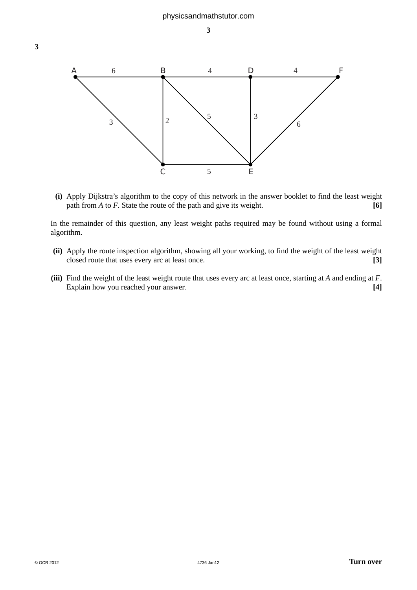

 **(i)** Apply Dijkstra's algorithm to the copy of this network in the answer booklet to find the least weight path from *A* to *F*. State the route of the path and give its weight. **[6]**

In the remainder of this question, any least weight paths required may be found without using a formal algorithm.

- **(ii)** Apply the route inspection algorithm, showing all your working, to find the weight of the least weight closed route that uses every arc at least once. **[3]**
- **(iii)** Find the weight of the least weight route that uses every arc at least once, starting at *A* and ending at *F*. Explain how you reached your answer. **[4]**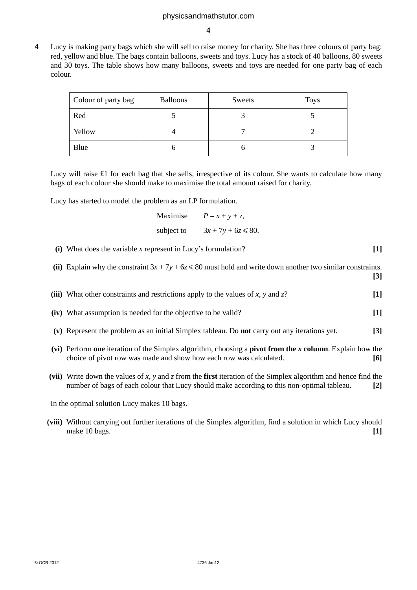**4**

**4** Lucy is making party bags which she will sell to raise money for charity. She has three colours of party bag: red, yellow and blue. The bags contain balloons, sweets and toys. Lucy has a stock of 40 balloons, 80 sweets and 30 toys. The table shows how many balloons, sweets and toys are needed for one party bag of each colour.

| Colour of party bag | <b>Balloons</b> | Sweets | <b>Toys</b> |
|---------------------|-----------------|--------|-------------|
| Red                 |                 |        |             |
| Yellow              |                 |        |             |
| Blue                | n               |        |             |

Lucy will raise £1 for each bag that she sells, irrespective of its colour. She wants to calculate how many bags of each colour she should make to maximise the total amount raised for charity.

Lucy has started to model the problem as an LP formulation.

Maximise  $P = x + y + z$ , subject to  $3x + 7y + 6z \le 80$ .

- **(i)** What does the variable *x* represent in Lucy's formulation? **[1]**
- **(ii)** Explain why the constraint  $3x + 7y + 6z \le 80$  must hold and write down another two similar constraints. **[3]**
- **(iii)** What other constraints and restrictions apply to the values of *x*, *y* and *z*? **[1] (iv)** What assumption is needed for the objective to be valid? **[1] (v)** Represent the problem as an initial Simplex tableau. Do **not** carry out any iterations yet. **[3]**
- **(vi)** Perform **one** iteration of the Simplex algorithm, choosing a **pivot from the** *x* **column**. Explain how the choice of pivot row was made and show how each row was calculated. **[6]**
- **(vii)** Write down the values of *x*, *y* and *z* from the **first** iteration of the Simplex algorithm and hence find the number of bags of each colour that Lucy should make according to this non-optimal tableau. **[2]**

In the optimal solution Lucy makes 10 bags.

 **(viii)** Without carrying out further iterations of the Simplex algorithm, find a solution in which Lucy should make 10 bags. **[1]**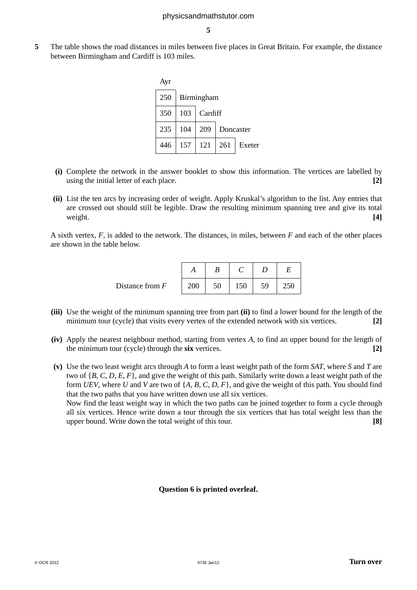**5**

**5** The table shows the road distances in miles between five places in Great Britain. For example, the distance between Birmingham and Cardiff is 103 miles.

| Ayr |     |            |           |        |
|-----|-----|------------|-----------|--------|
| 250 |     | Birmingham |           |        |
| 350 | 103 | Cardiff    |           |        |
| 235 | 104 | 209        | Doncaster |        |
| 446 | 157 | 121        | 261       | Exeter |

- **(i)** Complete the network in the answer booklet to show this information. The vertices are labelled by using the initial letter of each place. **[2]**
- **(ii)** List the ten arcs by increasing order of weight. Apply Kruskal's algorithm to the list. Any entries that are crossed out should still be legible. Draw the resulting minimum spanning tree and give its total weight. **[4]**

A sixth vertex, *F*, is added to the network. The distances, in miles, between *F* and each of the other places are shown in the table below.

| Distance from $F$ | 200 | 150 | 59 | 250 |
|-------------------|-----|-----|----|-----|

- **(iii)** Use the weight of the minimum spanning tree from part **(ii)** to find a lower bound for the length of the minimum tour (cycle) that visits every vertex of the extended network with six vertices. **[2]**
- **(iv)** Apply the nearest neighbour method, starting from vertex *A*, to find an upper bound for the length of the minimum tour (cycle) through the **six** vertices. **[2]**
- **(v)** Use the two least weight arcs through *A* to form a least weight path of the form *SAT*, where *S* and *T* are two of {*B*, *C*, *D*, *E*, *F*}, and give the weight of this path. Similarly write down a least weight path of the form *UEV*, where *U* and *V* are two of  $\{A, B, C, D, F\}$ , and give the weight of this path. You should find that the two paths that you have written down use all six vertices. Now find the least weight way in which the two paths can be joined together to form a cycle through

all six vertices. Hence write down a tour through the six vertices that has total weight less than the upper bound. Write down the total weight of this tour. **[8]**

**Question 6 is printed overleaf.**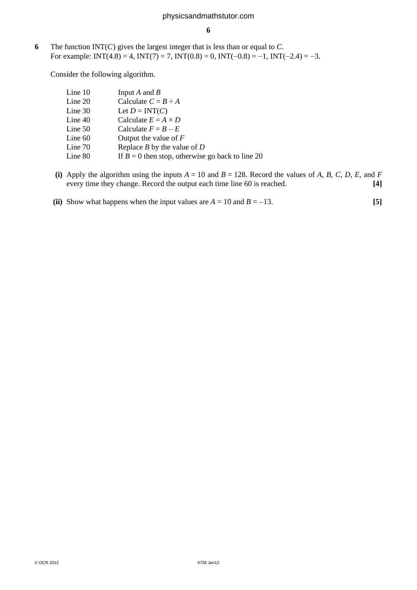### **6**

**6** The function INT(*C*) gives the largest integer that is less than or equal to *C*. For example: INT(4.8) = 4, INT(7) = 7, INT(0.8) = 0, INT(-0.8) = -1, INT(-2.4) = -3.

Consider the following algorithm.

| Line 10   | Input $A$ and $B$                                  |
|-----------|----------------------------------------------------|
| Line 20   | Calculate $C = B \div A$                           |
| Line 30   | Let $D = INT(C)$                                   |
| Line 40   | Calculate $E = A \times D$                         |
| Line 50   | Calculate $F = B - E$                              |
| Line $60$ | Output the value of $F$                            |
| Line 70   | Replace $B$ by the value of $D$                    |
| Line 80   | If $B = 0$ then stop, otherwise go back to line 20 |
|           |                                                    |

- **(i)** Apply the algorithm using the inputs  $A = 10$  and  $B = 128$ . Record the values of *A*, *B*, *C*, *D*, *E*, and *F* every time they change. Record the output each time line 60 is reached. **[4]**
- **(ii)** Show what happens when the input values are  $A = 10$  and  $B = -13$ . [5]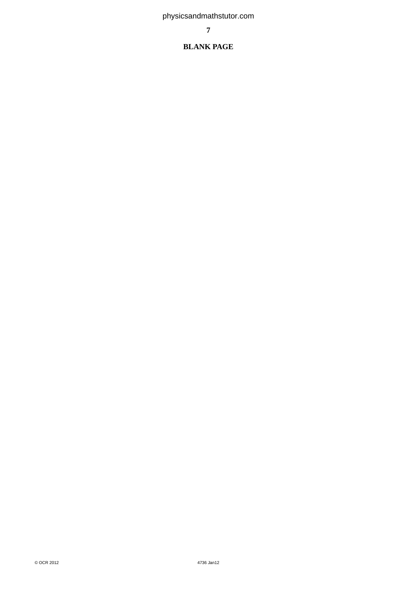### **7**

### **BLANK PAGE**